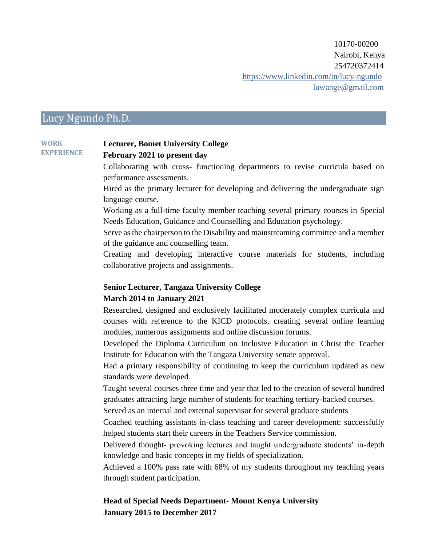10170-00200 Nairobi, Kenya 254720372414 https://www.linkedin.com/in/lucy-ngundo luwange@gmail.com

# Lucy Ngundo Ph.D.

#### **WORK EXPERIENCE Lecturer, Bomet University College February 2021 to present day**

Collaborating with cross- functioning departments to revise curricula based on performance assessments.

Hired as the primary lecturer for developing and delivering the undergraduate sign language course.

Working as a full-time faculty member teaching several primary courses in Special Needs Education, Guidance and Counselling and Education psychology.

Serve as the chairperson to the Disability and mainstreaming committee and a member of the guidance and counselling team.

Creating and developing interactive course materials for students, including collaborative projects and assignments.

#### **Senior Lecturer, Tangaza University College**

#### **March 2014 to January 2021**

Researched, designed and exclusively facilitated moderately complex curricula and courses with reference to the KICD protocols, creating several online learning modules, numerous assignments and online discussion forums.

Developed the Diploma Curriculum on Inclusive Education in Christ the Teacher Institute for Education with the Tangaza University senate approval.

Had a primary responsibility of continuing to keep the curriculum updated as new standards were developed.

Taught several courses three time and year that led to the creation of several hundred graduates attracting large number of students for teaching tertiary-backed courses.

Served as an internal and external supervisor for several graduate students

Coached teaching assistants in-class teaching and career development: successfully helped students start their careers in the Teachers Service commission.

Delivered thought- provoking lectures and taught undergraduate students' in-depth knowledge and basic concepts in my fields of specialization.

Achieved a 100% pass rate with 68% of my students throughout my teaching years through student participation.

## **Head of Special Needs Department- Mount Kenya University January 2015 to December 2017**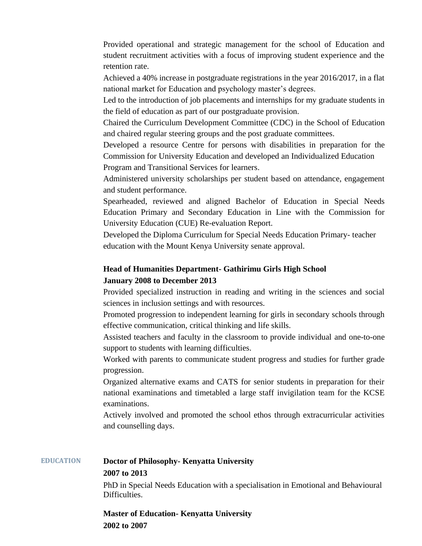Provided operational and strategic management for the school of Education and student recruitment activities with a focus of improving student experience and the retention rate.

Achieved a 40% increase in postgraduate registrations in the year 2016/2017, in a flat national market for Education and psychology master's degrees.

Led to the introduction of job placements and internships for my graduate students in the field of education as part of our postgraduate provision.

Chaired the Curriculum Development Committee (CDC) in the School of Education and chaired regular steering groups and the post graduate committees.

Developed a resource Centre for persons with disabilities in preparation for the Commission for University Education and developed an Individualized Education Program and Transitional Services for learners.

Administered university scholarships per student based on attendance, engagement and student performance.

Spearheaded, reviewed and aligned Bachelor of Education in Special Needs Education Primary and Secondary Education in Line with the Commission for University Education (CUE) Re-evaluation Report.

Developed the Diploma Curriculum for Special Needs Education Primary- teacher education with the Mount Kenya University senate approval.

# **Head of Humanities Department- Gathirimu Girls High School January 2008 to December 2013**

Provided specialized instruction in reading and writing in the sciences and social sciences in inclusion settings and with resources.

Promoted progression to independent learning for girls in secondary schools through effective communication, critical thinking and life skills.

Assisted teachers and faculty in the classroom to provide individual and one-to-one support to students with learning difficulties.

Worked with parents to communicate student progress and studies for further grade progression.

Organized alternative exams and CATS for senior students in preparation for their national examinations and timetabled a large staff invigilation team for the KCSE examinations.

Actively involved and promoted the school ethos through extracurricular activities and counselling days.

#### **EDUCATION Doctor of Philosophy- Kenyatta University**

#### **2007 to 2013**

PhD in Special Needs Education with a specialisation in Emotional and Behavioural Difficulties.

**Master of Education- Kenyatta University 2002 to 2007**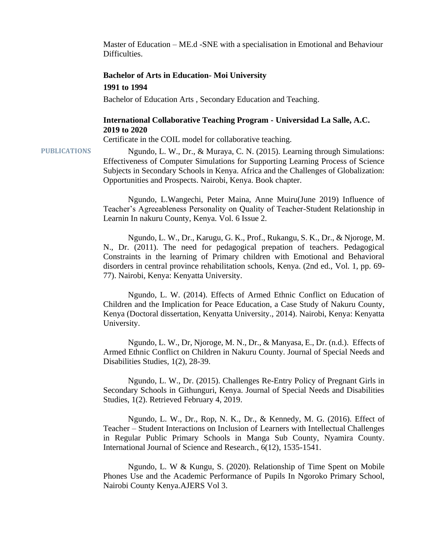Master of Education – ME.d -SNE with a specialisation in Emotional and Behaviour Difficulties.

## **Bachelor of Arts in Education- Moi University 1991 to 1994**

Bachelor of Education Arts , Secondary Education and Teaching.

#### **International Collaborative Teaching Program - Universidad La Salle, A.C. 2019 to 2020**

Certificate in the COIL model for collaborative teaching.

PUBLICATIONS Ngundo, L. W., Dr., & Muraya, C. N. (2015). Learning through Simulations: Effectiveness of Computer Simulations for Supporting Learning Process of Science Subjects in Secondary Schools in Kenya. Africa and the Challenges of Globalization: Opportunities and Prospects. Nairobi, Kenya. Book chapter.

> Ngundo, L.Wangechi, Peter Maina, Anne Muiru(June 2019) Influence of Teacher's Agreeableness Personality on Quality of Teacher-Student Relationship in Learnin In nakuru County, Kenya. Vol. 6 Issue 2.

> Ngundo, L. W., Dr., Karugu, G. K., Prof., Rukangu, S. K., Dr., & Njoroge, M. N., Dr. (2011). The need for pedagogical prepation of teachers. Pedagogical Constraints in the learning of Primary children with Emotional and Behavioral disorders in central province rehabilitation schools, Kenya. (2nd ed., Vol. 1, pp. 69- 77). Nairobi, Kenya: Kenyatta University.

> Ngundo, L. W. (2014). Effects of Armed Ethnic Conflict on Education of Children and the Implication for Peace Education, a Case Study of Nakuru County, Kenya (Doctoral dissertation, Kenyatta University., 2014). Nairobi, Kenya: Kenyatta University.

> Ngundo, L. W., Dr, Njoroge, M. N., Dr., & Manyasa, E., Dr. (n.d.). Effects of Armed Ethnic Conflict on Children in Nakuru County. Journal of Special Needs and Disabilities Studies, 1(2), 28-39.

> Ngundo, L. W., Dr. (2015). Challenges Re-Entry Policy of Pregnant Girls in Secondary Schools in Githunguri, Kenya. Journal of Special Needs and Disabilities Studies, 1(2). Retrieved February 4, 2019.

> Ngundo, L. W., Dr., Rop, N. K., Dr., & Kennedy, M. G. (2016). Effect of Teacher – Student Interactions on Inclusion of Learners with Intellectual Challenges in Regular Public Primary Schools in Manga Sub County, Nyamira County. International Journal of Science and Research., 6(12), 1535-1541.

> Ngundo, L. W & Kungu, S. (2020). Relationship of Time Spent on Mobile Phones Use and the Academic Performance of Pupils In Ngoroko Primary School, Nairobi County Kenya.AJERS Vol 3.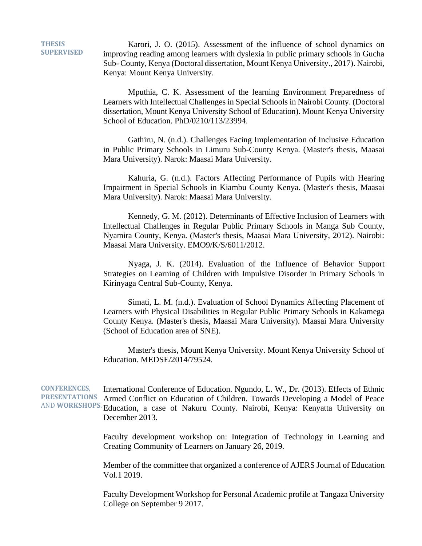**THESIS SUPERVISED**

Karori, J. O. (2015). Assessment of the influence of school dynamics on improving reading among learners with dyslexia in public primary schools in Gucha Sub- County, Kenya (Doctoral dissertation, Mount Kenya University., 2017). Nairobi, Kenya: Mount Kenya University.

Mputhia, C. K. Assessment of the learning Environment Preparedness of Learners with Intellectual Challenges in Special Schools in Nairobi County. (Doctoral dissertation, Mount Kenya University School of Education). Mount Kenya University School of Education. PhD/0210/113/23994.

Gathiru, N. (n.d.). Challenges Facing Implementation of Inclusive Education in Public Primary Schools in Limuru Sub-County Kenya. (Master's thesis, Maasai Mara University). Narok: Maasai Mara University.

Kahuria, G. (n.d.). Factors Affecting Performance of Pupils with Hearing Impairment in Special Schools in Kiambu County Kenya. (Master's thesis, Maasai Mara University). Narok: Maasai Mara University.

Kennedy, G. M. (2012). Determinants of Effective Inclusion of Learners with Intellectual Challenges in Regular Public Primary Schools in Manga Sub County, Nyamira County, Kenya. (Master's thesis, Maasai Mara University, 2012). Nairobi: Maasai Mara University. EMO9/K/S/6011/2012.

Nyaga, J. K. (2014). Evaluation of the Influence of Behavior Support Strategies on Learning of Children with Impulsive Disorder in Primary Schools in Kirinyaga Central Sub-County, Kenya.

Simati, L. M. (n.d.). Evaluation of School Dynamics Affecting Placement of Learners with Physical Disabilities in Regular Public Primary Schools in Kakamega County Kenya. (Master's thesis, Maasai Mara University). Maasai Mara University (School of Education area of SNE).

Master's thesis, Mount Kenya University. Mount Kenya University School of Education. MEDSE/2014/79524.

**CONFERENCES**, **PRESENTATIONS** AND **WORKSHOPS**. Education, a case of Nakuru County. Nairobi, Kenya: Kenyatta University on International Conference of Education. Ngundo, L. W., Dr. (2013). Effects of Ethnic Armed Conflict on Education of Children. Towards Developing a Model of Peace December 2013.

> Faculty development workshop on: Integration of Technology in Learning and Creating Community of Learners on January 26, 2019.

> Member of the committee that organized a conference of AJERS Journal of Education Vol.1 2019.

> Faculty Development Workshop for Personal Academic profile at Tangaza University College on September 9 2017.